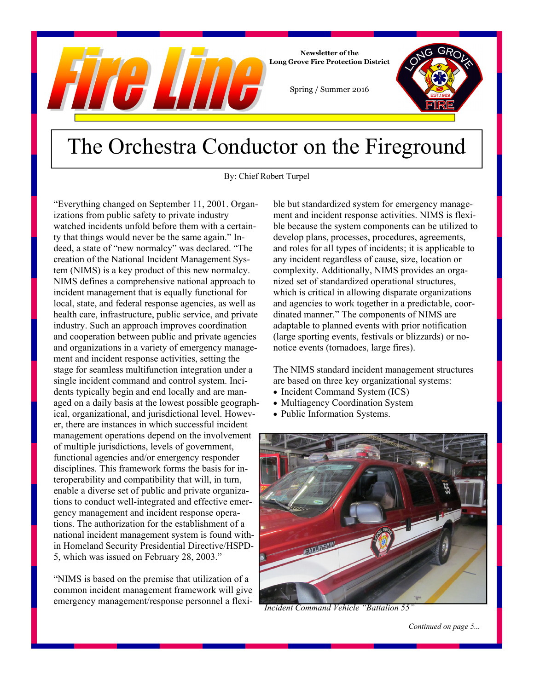

## The Orchestra Conductor on the Fireground

By: Chief Robert Turpel

"Everything changed on September 11, 2001. Organizations from public safety to private industry watched incidents unfold before them with a certainty that things would never be the same again." Indeed, a state of "new normalcy" was declared. "The creation of the National Incident Management System (NIMS) is a key product of this new normalcy. NIMS defines a comprehensive national approach to incident management that is equally functional for local, state, and federal response agencies, as well as health care, infrastructure, public service, and private industry. Such an approach improves coordination and cooperation between public and private agencies and organizations in a variety of emergency management and incident response activities, setting the stage for seamless multifunction integration under a single incident command and control system. Incidents typically begin and end locally and are managed on a daily basis at the lowest possible geographical, organizational, and jurisdictional level. However, there are instances in which successful incident management operations depend on the involvement of multiple jurisdictions, levels of government, functional agencies and/or emergency responder disciplines. This framework forms the basis for interoperability and compatibility that will, in turn, enable a diverse set of public and private organizations to conduct well-integrated and effective emergency management and incident response operations. The authorization for the establishment of a national incident management system is found within Homeland Security Presidential Directive/HSPD-5, which was issued on February 28, 2003."

"NIMS is based on the premise that utilization of a common incident management framework will give emergency management/response personnel a flexible but standardized system for emergency management and incident response activities. NIMS is flexible because the system components can be utilized to develop plans, processes, procedures, agreements, and roles for all types of incidents; it is applicable to any incident regardless of cause, size, location or complexity. Additionally, NIMS provides an organized set of standardized operational structures, which is critical in allowing disparate organizations and agencies to work together in a predictable, coordinated manner." The components of NIMS are adaptable to planned events with prior notification (large sporting events, festivals or blizzards) or nonotice events (tornadoes, large fires).

The NIMS standard incident management structures are based on three key organizational systems:

- Incident Command System (ICS)
- Multiagency Coordination System
- Public Information Systems.



*Incident Command Vehicle "Battalion 55"*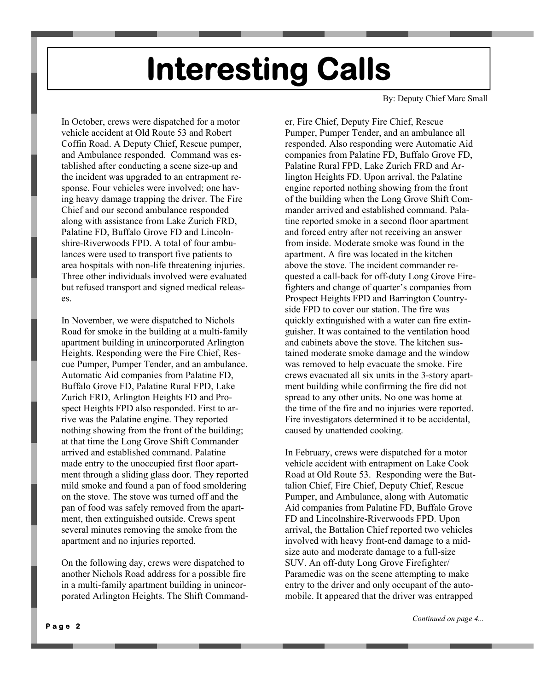# **Interesting Calls**

In October, crews were dispatched for a motor vehicle accident at Old Route 53 and Robert Coffin Road. A Deputy Chief, Rescue pumper, and Ambulance responded. Command was established after conducting a scene size-up and the incident was upgraded to an entrapment response. Four vehicles were involved; one having heavy damage trapping the driver. The Fire Chief and our second ambulance responded along with assistance from Lake Zurich FRD, Palatine FD, Buffalo Grove FD and Lincolnshire-Riverwoods FPD. A total of four ambulances were used to transport five patients to area hospitals with non-life threatening injuries. Three other individuals involved were evaluated but refused transport and signed medical releases.

In November, we were dispatched to Nichols Road for smoke in the building at a multi-family apartment building in unincorporated Arlington Heights. Responding were the Fire Chief, Rescue Pumper, Pumper Tender, and an ambulance. Automatic Aid companies from Palatine FD, Buffalo Grove FD, Palatine Rural FPD, Lake Zurich FRD, Arlington Heights FD and Prospect Heights FPD also responded. First to arrive was the Palatine engine. They reported nothing showing from the front of the building; at that time the Long Grove Shift Commander arrived and established command. Palatine made entry to the unoccupied first floor apartment through a sliding glass door. They reported mild smoke and found a pan of food smoldering on the stove. The stove was turned off and the pan of food was safely removed from the apartment, then extinguished outside. Crews spent several minutes removing the smoke from the apartment and no injuries reported.

On the following day, crews were dispatched to another Nichols Road address for a possible fire in a multi-family apartment building in unincorporated Arlington Heights. The Shift CommandBy: Deputy Chief Marc Small

er, Fire Chief, Deputy Fire Chief, Rescue Pumper, Pumper Tender, and an ambulance all responded. Also responding were Automatic Aid companies from Palatine FD, Buffalo Grove FD, Palatine Rural FPD, Lake Zurich FRD and Arlington Heights FD. Upon arrival, the Palatine engine reported nothing showing from the front of the building when the Long Grove Shift Commander arrived and established command. Palatine reported smoke in a second floor apartment and forced entry after not receiving an answer from inside. Moderate smoke was found in the apartment. A fire was located in the kitchen above the stove. The incident commander requested a call-back for off-duty Long Grove Firefighters and change of quarter's companies from Prospect Heights FPD and Barrington Countryside FPD to cover our station. The fire was quickly extinguished with a water can fire extinguisher. It was contained to the ventilation hood and cabinets above the stove. The kitchen sustained moderate smoke damage and the window was removed to help evacuate the smoke. Fire crews evacuated all six units in the 3-story apartment building while confirming the fire did not spread to any other units. No one was home at the time of the fire and no injuries were reported. Fire investigators determined it to be accidental, caused by unattended cooking.

In February, crews were dispatched for a motor vehicle accident with entrapment on Lake Cook Road at Old Route 53. Responding were the Battalion Chief, Fire Chief, Deputy Chief, Rescue Pumper, and Ambulance, along with Automatic Aid companies from Palatine FD, Buffalo Grove FD and Lincolnshire-Riverwoods FPD. Upon arrival, the Battalion Chief reported two vehicles involved with heavy front-end damage to a midsize auto and moderate damage to a full-size SUV. An off-duty Long Grove Firefighter/ Paramedic was on the scene attempting to make entry to the driver and only occupant of the automobile. It appeared that the driver was entrapped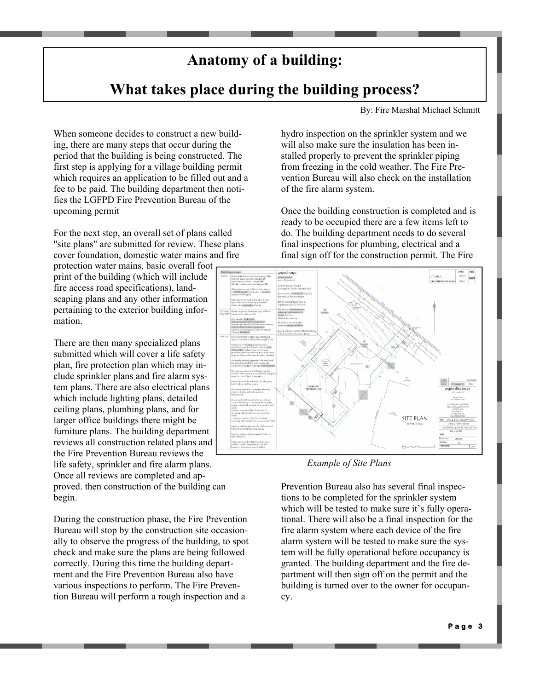## **Anatomy of a building:**

### **What takes place during the building process?**

By: Fire Marshal Michael Schmitt

When someone decides to construct a new building, there are many steps that occur during the period that the building is being constructed. The first step is applying for a village building permit which requires an application to be filled out and a fee to be paid. The building department then notifies the LGFPD Fire Prevention Bureau of the upcoming permit

For the next step, an overall set of plans called "site plans" are submitted for review. These plans cover foundation, domestic water mains and fire

protection water mains, basic overall foot print of the building (which will include fire access road specifications), landscaping plans and any other information pertaining to the exterior building information.

There are then many specialized plans submitted which will cover a life safety plan, fire protection plan which may include sprinkler plans and fire alarm system plans. There are also electrical plans which include lighting plans, detailed ceiling plans, plumbing plans, and for larger office buildings there might be furniture plans. The building department reviews all construction related plans and the Fire Prevention Bureau reviews the life safety, sprinkler and fire alarm plans. Once all reviews are completed and approved. then construction of the building can begin.

During the construction phase, the Fire Prevention Bureau will stop by the construction site occasionally to observe the progress of the building, to spot check and make sure the plans are being followed correctly. During this time the building department and the Fire Prevention Bureau also have various inspections to perform. The Fire Prevention Bureau will perform a rough inspection and a

hydro inspection on the sprinkler system and we will also make sure the insulation has been installed properly to prevent the sprinkler piping from freezing in the cold weather. The Fire Prevention Bureau will also check on the installation of the fire alarm system.

Once the building construction is completed and is ready to be occupied there are a few items left to do. The building department needs to do several final inspections for plumbing, electrical and a final sign off for the construction permit. The Fire



### *Example of Site Plans*

Prevention Bureau also has several final inspections to be completed for the sprinkler system which will be tested to make sure it's fully operational. There will also be a final inspection for the fire alarm system where each device of the fire alarm system will be tested to make sure the system will be fully operational before occupancy is granted. The building department and the fire department will then sign off on the permit and the building is turned over to the owner for occupancy.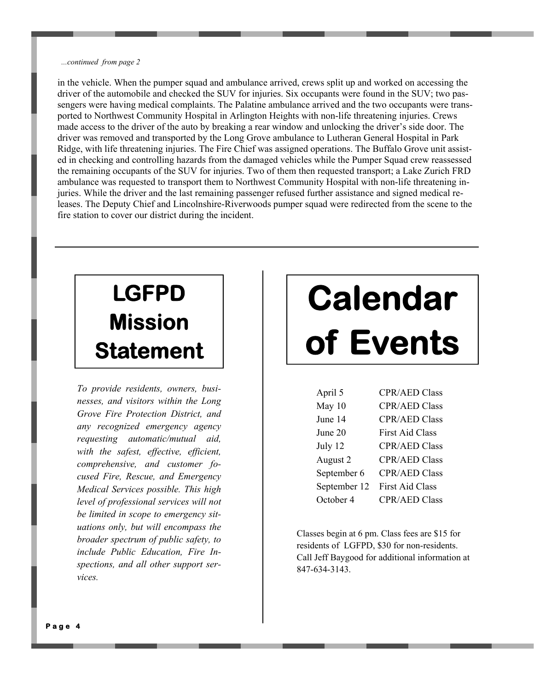### *...continued from page 2*

in the vehicle. When the pumper squad and ambulance arrived, crews split up and worked on accessing the driver of the automobile and checked the SUV for injuries. Six occupants were found in the SUV; two passengers were having medical complaints. The Palatine ambulance arrived and the two occupants were transported to Northwest Community Hospital in Arlington Heights with non-life threatening injuries. Crews made access to the driver of the auto by breaking a rear window and unlocking the driver's side door. The driver was removed and transported by the Long Grove ambulance to Lutheran General Hospital in Park Ridge, with life threatening injuries. The Fire Chief was assigned operations. The Buffalo Grove unit assisted in checking and controlling hazards from the damaged vehicles while the Pumper Squad crew reassessed the remaining occupants of the SUV for injuries. Two of them then requested transport; a Lake Zurich FRD ambulance was requested to transport them to Northwest Community Hospital with non-life threatening injuries. While the driver and the last remaining passenger refused further assistance and signed medical releases. The Deputy Chief and Lincolnshire-Riverwoods pumper squad were redirected from the scene to the fire station to cover our district during the incident.

## **LGFPD Mission Statement**

*To provide residents, owners, businesses, and visitors within the Long Grove Fire Protection District, and any recognized emergency agency requesting automatic/mutual aid, with the safest, effective, efficient, comprehensive, and customer focused Fire, Rescue, and Emergency Medical Services possible. This high level of professional services will not be limited in scope to emergency situations only, but will encompass the broader spectrum of public safety, to include Public Education, Fire Inspections, and all other support services.*

# **Calendar of Events**

| April 5      | <b>CPR/AED Class</b>   |
|--------------|------------------------|
| May 10       | <b>CPR/AED Class</b>   |
| June 14      | <b>CPR/AED Class</b>   |
| June 20      | <b>First Aid Class</b> |
| July 12      | <b>CPR/AED Class</b>   |
| August 2     | <b>CPR/AED Class</b>   |
| September 6  | <b>CPR/AED Class</b>   |
| September 12 | <b>First Aid Class</b> |
| October 4    | <b>CPR/AED Class</b>   |

Classes begin at 6 pm. Class fees are \$15 for residents of LGFPD, \$30 for non-residents. Call Jeff Baygood for additional information at 847-634-3143.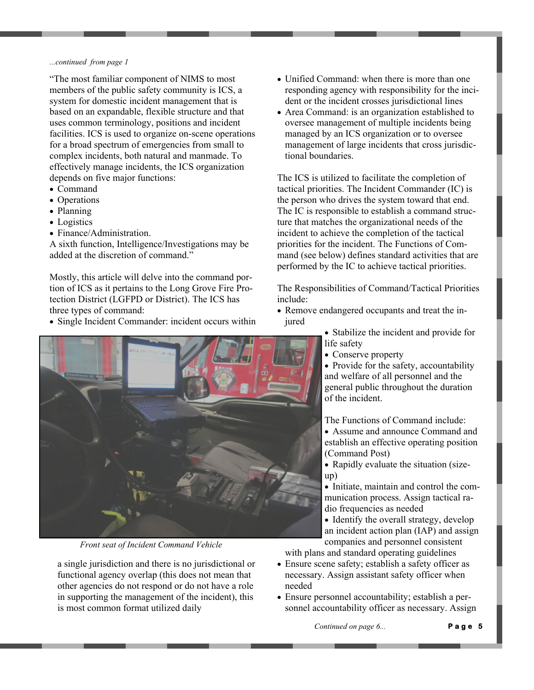### *...continued from page 1*

"The most familiar component of NIMS to most members of the public safety community is ICS, a system for domestic incident management that is based on an expandable, flexible structure and that uses common terminology, positions and incident facilities. ICS is used to organize on-scene operations for a broad spectrum of emergencies from small to complex incidents, both natural and manmade. To effectively manage incidents, the ICS organization depends on five major functions:

- Command
- Operations
- Planning
- Logistics
- Finance/Administration.

A sixth function, Intelligence/Investigations may be added at the discretion of command."

Mostly, this article will delve into the command portion of ICS as it pertains to the Long Grove Fire Protection District (LGFPD or District). The ICS has three types of command:

Single Incident Commander: incident occurs within



*Front seat of Incident Command Vehicle* 

a single jurisdiction and there is no jurisdictional or functional agency overlap (this does not mean that other agencies do not respond or do not have a role in supporting the management of the incident), this is most common format utilized daily

- Unified Command: when there is more than one responding agency with responsibility for the incident or the incident crosses jurisdictional lines
- Area Command: is an organization established to oversee management of multiple incidents being managed by an ICS organization or to oversee management of large incidents that cross jurisdictional boundaries.

The ICS is utilized to facilitate the completion of tactical priorities. The Incident Commander (IC) is the person who drives the system toward that end. The IC is responsible to establish a command structure that matches the organizational needs of the incident to achieve the completion of the tactical priorities for the incident. The Functions of Command (see below) defines standard activities that are performed by the IC to achieve tactical priorities.

The Responsibilities of Command/Tactical Priorities include:

 Remove endangered occupants and treat the injured

> Stabilize the incident and provide for life safety

• Conserve property

• Provide for the safety, accountability and welfare of all personnel and the general public throughout the duration of the incident.

The Functions of Command include:

- Assume and announce Command and establish an effective operating position (Command Post)
- Rapidly evaluate the situation (sizeup)
- Initiate, maintain and control the communication process. Assign tactical radio frequencies as needed
- Identify the overall strategy, develop an incident action plan (IAP) and assign companies and personnel consistent

with plans and standard operating guidelines

- Ensure scene safety; establish a safety officer as necessary. Assign assistant safety officer when needed
- Ensure personnel accountability; establish a personnel accountability officer as necessary. Assign

*Continued on page 6...* 

**Page 5**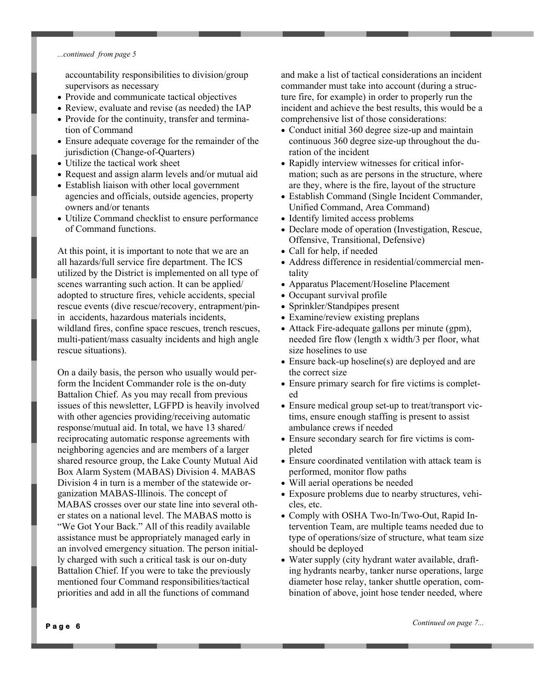### *...continued from page 5*

accountability responsibilities to division/group supervisors as necessary

- Provide and communicate tactical objectives
- Review, evaluate and revise (as needed) the IAP
- Provide for the continuity, transfer and termination of Command
- Ensure adequate coverage for the remainder of the jurisdiction (Change-of-Quarters)
- Utilize the tactical work sheet
- Request and assign alarm levels and/or mutual aid
- Establish liaison with other local government agencies and officials, outside agencies, property owners and/or tenants
- Utilize Command checklist to ensure performance of Command functions.

At this point, it is important to note that we are an all hazards/full service fire department. The ICS utilized by the District is implemented on all type of scenes warranting such action. It can be applied/ adopted to structure fires, vehicle accidents, special rescue events (dive rescue/recovery, entrapment/pinin accidents, hazardous materials incidents, wildland fires, confine space rescues, trench rescues, multi-patient/mass casualty incidents and high angle rescue situations).

On a daily basis, the person who usually would perform the Incident Commander role is the on-duty Battalion Chief. As you may recall from previous issues of this newsletter, LGFPD is heavily involved with other agencies providing/receiving automatic response/mutual aid. In total, we have 13 shared/ reciprocating automatic response agreements with neighboring agencies and are members of a larger shared resource group, the Lake County Mutual Aid Box Alarm System (MABAS) Division 4. MABAS Division 4 in turn is a member of the statewide organization MABAS-Illinois. The concept of MABAS crosses over our state line into several other states on a national level. The MABAS motto is "We Got Your Back." All of this readily available assistance must be appropriately managed early in an involved emergency situation. The person initially charged with such a critical task is our on-duty Battalion Chief. If you were to take the previously mentioned four Command responsibilities/tactical priorities and add in all the functions of command

and make a list of tactical considerations an incident commander must take into account (during a structure fire, for example) in order to properly run the incident and achieve the best results, this would be a comprehensive list of those considerations:

- Conduct initial 360 degree size-up and maintain continuous 360 degree size-up throughout the duration of the incident
- Rapidly interview witnesses for critical information; such as are persons in the structure, where are they, where is the fire, layout of the structure
- Establish Command (Single Incident Commander, Unified Command, Area Command)
- Identify limited access problems
- Declare mode of operation (Investigation, Rescue, Offensive, Transitional, Defensive)
- Call for help, if needed
- Address difference in residential/commercial mentality
- Apparatus Placement/Hoseline Placement
- Occupant survival profile
- Sprinkler/Standpipes present
- Examine/review existing preplans
- Attack Fire-adequate gallons per minute (gpm), needed fire flow (length x width/3 per floor, what size hoselines to use
- Ensure back-up hoseline(s) are deployed and are the correct size
- Ensure primary search for fire victims is completed
- Ensure medical group set-up to treat/transport victims, ensure enough staffing is present to assist ambulance crews if needed
- Ensure secondary search for fire victims is completed
- Ensure coordinated ventilation with attack team is performed, monitor flow paths
- Will aerial operations be needed
- Exposure problems due to nearby structures, vehicles, etc.
- Comply with OSHA Two-In/Two-Out, Rapid Intervention Team, are multiple teams needed due to type of operations/size of structure, what team size should be deployed
- Water supply (city hydrant water available, drafting hydrants nearby, tanker nurse operations, large diameter hose relay, tanker shuttle operation, combination of above, joint hose tender needed, where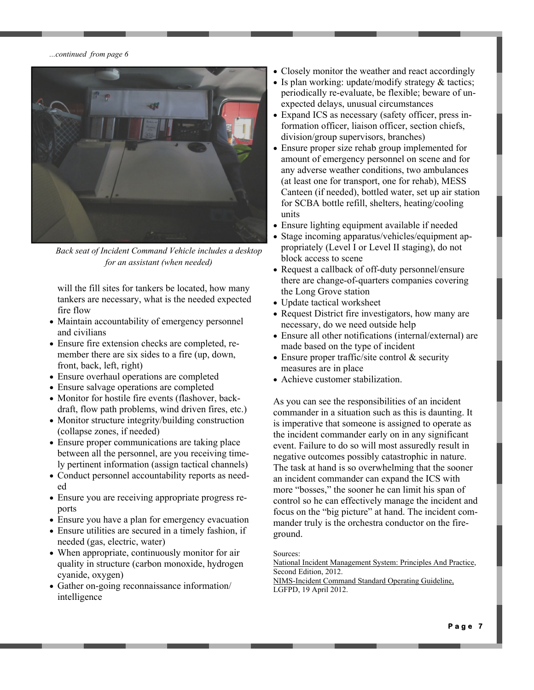*...continued from page 6*



*Back seat of Incident Command Vehicle includes a desktop for an assistant (when needed)* 

will the fill sites for tankers be located, how many tankers are necessary, what is the needed expected fire flow

- Maintain accountability of emergency personnel and civilians
- Ensure fire extension checks are completed, remember there are six sides to a fire (up, down, front, back, left, right)
- Ensure overhaul operations are completed
- Ensure salvage operations are completed
- Monitor for hostile fire events (flashover, backdraft, flow path problems, wind driven fires, etc.)
- Monitor structure integrity/building construction (collapse zones, if needed)
- Ensure proper communications are taking place between all the personnel, are you receiving timely pertinent information (assign tactical channels)
- Conduct personnel accountability reports as needed
- Ensure you are receiving appropriate progress reports
- Ensure you have a plan for emergency evacuation
- Ensure utilities are secured in a timely fashion, if needed (gas, electric, water)
- When appropriate, continuously monitor for air quality in structure (carbon monoxide, hydrogen cyanide, oxygen)
- Gather on-going reconnaissance information/ intelligence
- Closely monitor the weather and react accordingly
- Is plan working: update/modify strategy  $&$  tactics; periodically re-evaluate, be flexible; beware of unexpected delays, unusual circumstances
- Expand ICS as necessary (safety officer, press information officer, liaison officer, section chiefs, division/group supervisors, branches)
- Ensure proper size rehab group implemented for amount of emergency personnel on scene and for any adverse weather conditions, two ambulances (at least one for transport, one for rehab), MESS Canteen (if needed), bottled water, set up air station for SCBA bottle refill, shelters, heating/cooling units
- Ensure lighting equipment available if needed
- Stage incoming apparatus/vehicles/equipment appropriately (Level I or Level II staging), do not block access to scene
- Request a callback of off-duty personnel/ensure there are change-of-quarters companies covering the Long Grove station
- Update tactical worksheet
- Request District fire investigators, how many are necessary, do we need outside help
- Ensure all other notifications (internal/external) are made based on the type of incident
- Ensure proper traffic/site control & security measures are in place
- Achieve customer stabilization.

As you can see the responsibilities of an incident commander in a situation such as this is daunting. It is imperative that someone is assigned to operate as the incident commander early on in any significant event. Failure to do so will most assuredly result in negative outcomes possibly catastrophic in nature. The task at hand is so overwhelming that the sooner an incident commander can expand the ICS with more "bosses," the sooner he can limit his span of control so he can effectively manage the incident and focus on the "big picture" at hand. The incident commander truly is the orchestra conductor on the fireground.

Sources:

National Incident Management System: Principles And Practice, Second Edition, 2012.

NIMS-Incident Command Standard Operating Guideline, LGFPD, 19 April 2012.